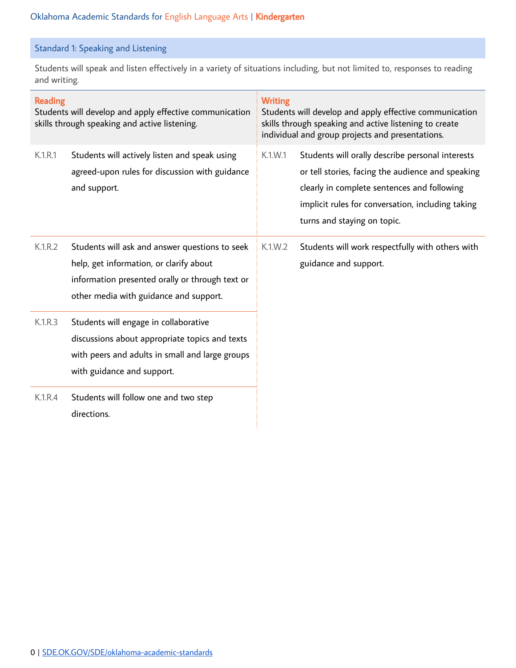## Standard 1: Speaking and Listening

Students will speak and listen effectively in a variety of situations including, but not limited to, responses to reading and writing.

| <b>Reading</b><br>Students will develop and apply effective communication<br>skills through speaking and active listening. |                                                                                                                                                                                        | <b>Writing</b><br>Students will develop and apply effective communication<br>skills through speaking and active listening to create<br>individual and group projects and presentations. |                                                                                                                                                                                                                                          |  |
|----------------------------------------------------------------------------------------------------------------------------|----------------------------------------------------------------------------------------------------------------------------------------------------------------------------------------|-----------------------------------------------------------------------------------------------------------------------------------------------------------------------------------------|------------------------------------------------------------------------------------------------------------------------------------------------------------------------------------------------------------------------------------------|--|
| K.1.R.1                                                                                                                    | Students will actively listen and speak using<br>agreed-upon rules for discussion with guidance<br>and support.                                                                        | K.1.W.1                                                                                                                                                                                 | Students will orally describe personal interests<br>or tell stories, facing the audience and speaking<br>clearly in complete sentences and following<br>implicit rules for conversation, including taking<br>turns and staying on topic. |  |
| K.1.R.2                                                                                                                    | Students will ask and answer questions to seek<br>help, get information, or clarify about<br>information presented orally or through text or<br>other media with guidance and support. | K.1.W.2                                                                                                                                                                                 | Students will work respectfully with others with<br>guidance and support.                                                                                                                                                                |  |
| K.1.R.3                                                                                                                    | Students will engage in collaborative<br>discussions about appropriate topics and texts<br>with peers and adults in small and large groups<br>with guidance and support.               |                                                                                                                                                                                         |                                                                                                                                                                                                                                          |  |
| K.1.R.4                                                                                                                    | Students will follow one and two step<br>directions.                                                                                                                                   |                                                                                                                                                                                         |                                                                                                                                                                                                                                          |  |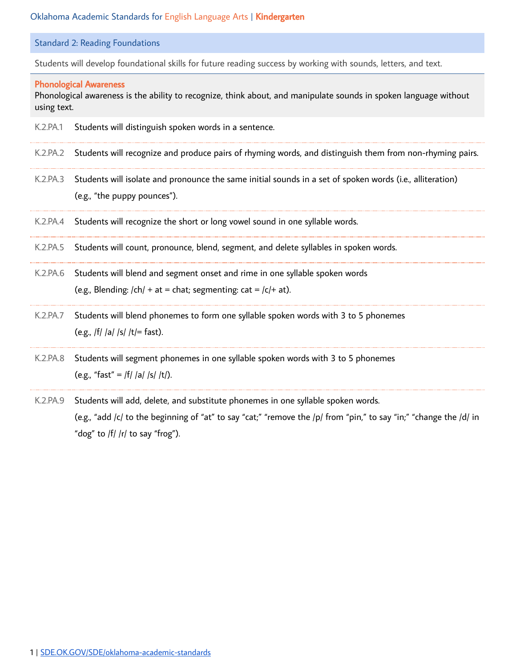Standard 2: Reading Foundations

Students will develop foundational skills for future reading success by working with sounds, letters, and text.

### Phonological Awareness

Phonological awareness is the ability to recognize, think about, and manipulate sounds in spoken language without using text.

- K.2.PA.1 Students will distinguish spoken words in a sentence.
- K.2.PA.2 Students will recognize and produce pairs of rhyming words, and distinguish them from non-rhyming pairs.
- K.2.PA.3 Students will isolate and pronounce the same initial sounds in a set of spoken words (i.e., alliteration) (e.g., "the puppy pounces").
- K.2.PA.4 Students will recognize the short or long vowel sound in one syllable words.
- K.2.PA.5 Students will count, pronounce, blend, segment, and delete syllables in spoken words.
- K.2.PA.6 Students will blend and segment onset and rime in one syllable spoken words (e.g., Blending:  $\vert$ ch $\vert$  + at = chat; segmenting: cat =  $\vert$ c $\vert$ + at).
- K.2.PA.7 Students will blend phonemes to form one syllable spoken words with 3 to 5 phonemes (e.g., /f/ /a/ /s/ /t/= fast).
- K.2.PA.8 Students will segment phonemes in one syllable spoken words with 3 to 5 phonemes (e.g., "fast" = /f/ /a/ /s/ /t/).
- K.2.PA.9 Students will add, delete, and substitute phonemes in one syllable spoken words. (e.g., "add /c/ to the beginning of "at" to say "cat;" "remove the /p/ from "pin," to say "in;" "change the /d/ in "dog" to  $|f|/r/$  to say "frog").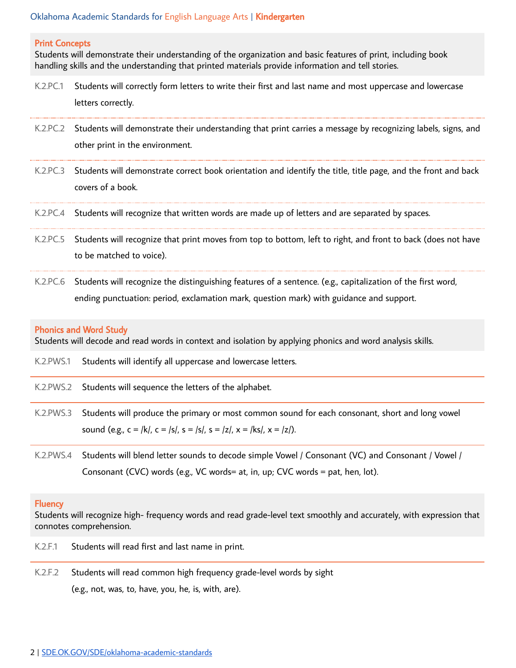#### Print Concepts

Students will demonstrate their understanding of the organization and basic features of print, including book handling skills and the understanding that printed materials provide information and tell stories.

- K.2.PC.1 Students will correctly form letters to write their first and last name and most uppercase and lowercase letters correctly.
- K.2.PC.2 Students will demonstrate their understanding that print carries a message by recognizing labels, signs, and other print in the environment.
- K.2.PC.3 Students will demonstrate correct book orientation and identify the title, title page, and the front and back covers of a book.
- K.2.PC.4 Students will recognize that written words are made up of letters and are separated by spaces.
- K.2.PC.5 Students will recognize that print moves from top to bottom, left to right, and front to back (does not have to be matched to voice).
- K.2.PC.6 Students will recognize the distinguishing features of a sentence. (e.g., capitalization of the first word, ending punctuation: period, exclamation mark, question mark) with guidance and support.

### Phonics and Word Study

Students will decode and read words in context and isolation by applying phonics and word analysis skills.

- K.2.PWS.1 Students will identify all uppercase and lowercase letters.
- K.2.PWS.2 Students will sequence the letters of the alphabet.
- K.2.PWS.3 Students will produce the primary or most common sound for each consonant, short and long vowel sound (e.g.,  $c = |k|$ ,  $c = |s|$ ,  $s = |s|$ ,  $s = |z|$ ,  $x = |ks|$ ,  $x = |z|$ ).
- K.2.PWS.4 Students will blend letter sounds to decode simple Vowel / Consonant (VC) and Consonant / Vowel / Consonant (CVC) words (e.g., VC words= at, in, up; CVC words = pat, hen, lot).

#### **Fluency**

Students will recognize high- frequency words and read grade-level text smoothly and accurately, with expression that connotes comprehension.

- K.2.F.1 Students will read first and last name in print.
- K.2.F.2 Students will read common high frequency grade-level words by sight (e.g., not, was, to, have, you, he, is, with, are).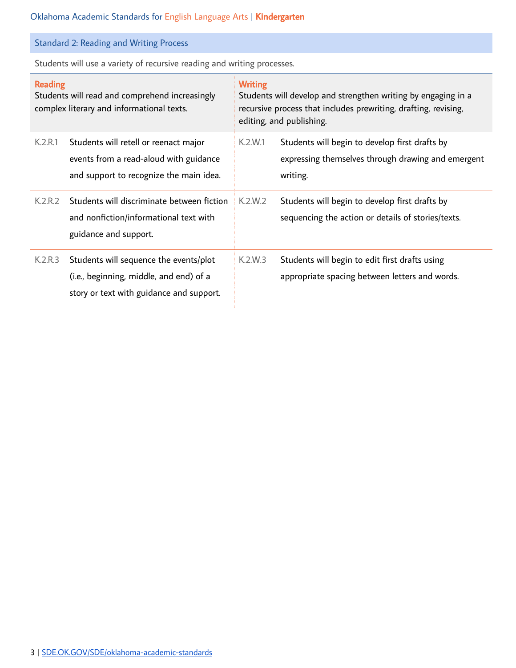Standard 2: Reading and Writing Process

Students will use a variety of recursive reading and writing processes.

| <b>Reading</b><br>Students will read and comprehend increasingly<br>complex literary and informational texts. |                                                                                                                               | <b>Writing</b><br>Students will develop and strengthen writing by engaging in a<br>recursive process that includes prewriting, drafting, revising,<br>editing, and publishing. |                                                                                                                  |  |
|---------------------------------------------------------------------------------------------------------------|-------------------------------------------------------------------------------------------------------------------------------|--------------------------------------------------------------------------------------------------------------------------------------------------------------------------------|------------------------------------------------------------------------------------------------------------------|--|
| K.2.R.1                                                                                                       | Students will retell or reenact major<br>events from a read-aloud with guidance<br>and support to recognize the main idea.    | K.2.W.1                                                                                                                                                                        | Students will begin to develop first drafts by<br>expressing themselves through drawing and emergent<br>writing. |  |
| K.2.R.2                                                                                                       | Students will discriminate between fiction<br>and nonfiction/informational text with<br>guidance and support.                 | K.2.W.2                                                                                                                                                                        | Students will begin to develop first drafts by<br>sequencing the action or details of stories/texts.             |  |
| K.2.R.3                                                                                                       | Students will sequence the events/plot<br>(i.e., beginning, middle, and end) of a<br>story or text with guidance and support. | K.2.W.3                                                                                                                                                                        | Students will begin to edit first drafts using<br>appropriate spacing between letters and words.                 |  |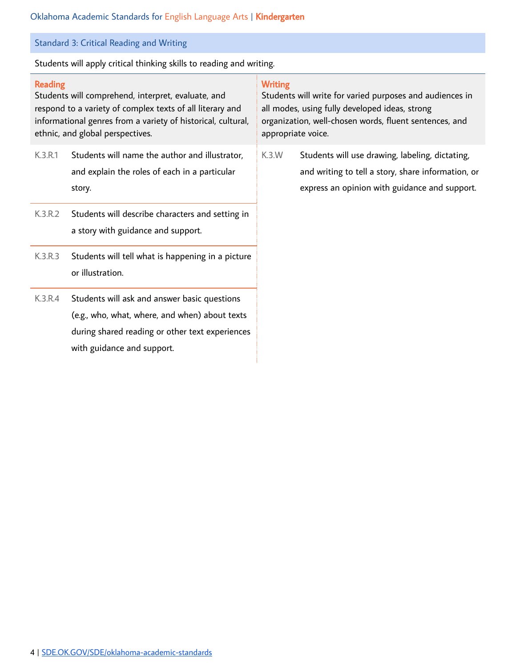Standard 3: Critical Reading and Writing

Students will apply critical thinking skills to reading and writing.

### Reading

Students will comprehend, interpret, evaluate, and respond to a variety of complex texts of all literary and informational genres from a variety of historical, cultural, ethnic, and global perspectives.

- K.3.R.1 Students will name the author and illustrator, and explain the roles of each in a particular story.
- K.3.R.2 Students will describe characters and setting in a story with guidance and support.
- K.3.R.3 Students will tell what is happening in a picture or illustration.
- K.3.R.4 Students will ask and answer basic questions (e.g., who, what, where, and when) about texts during shared reading or other text experiences with guidance and support.

## **Writing**

Students will write for varied purposes and audiences in all modes, using fully developed ideas, strong organization, well-chosen words, fluent sentences, and appropriate voice.

K.3.W Students will use drawing, labeling, dictating, and writing to tell a story, share information, or express an opinion with guidance and support.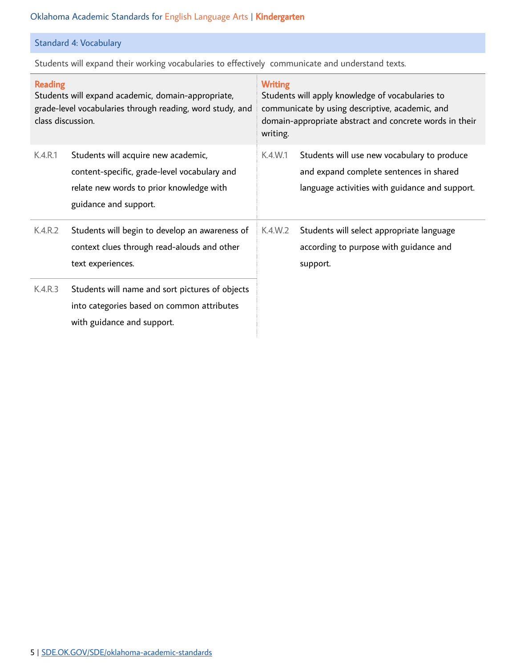# Standard 4: Vocabulary

Students will expand their working vocabularies to effectively communicate and understand texts.

| <b>Reading</b><br>Students will expand academic, domain-appropriate,<br>grade-level vocabularies through reading, word study, and<br>class discussion. |                                                                                                                                                          | <b>Writing</b><br>Students will apply knowledge of vocabularies to<br>communicate by using descriptive, academic, and<br>domain-appropriate abstract and concrete words in their<br>writing. |                                                                                                                                          |  |
|--------------------------------------------------------------------------------------------------------------------------------------------------------|----------------------------------------------------------------------------------------------------------------------------------------------------------|----------------------------------------------------------------------------------------------------------------------------------------------------------------------------------------------|------------------------------------------------------------------------------------------------------------------------------------------|--|
| K.4.R.1                                                                                                                                                | Students will acquire new academic,<br>content-specific, grade-level vocabulary and<br>relate new words to prior knowledge with<br>guidance and support. | K.4.W.1                                                                                                                                                                                      | Students will use new vocabulary to produce<br>and expand complete sentences in shared<br>language activities with guidance and support. |  |
| K.4.R.2                                                                                                                                                | Students will begin to develop an awareness of<br>context clues through read-alouds and other<br>text experiences.                                       | K.4.W.2                                                                                                                                                                                      | Students will select appropriate language<br>according to purpose with guidance and<br>support.                                          |  |
| K.4.R.3                                                                                                                                                | Students will name and sort pictures of objects<br>into categories based on common attributes<br>with guidance and support.                              |                                                                                                                                                                                              |                                                                                                                                          |  |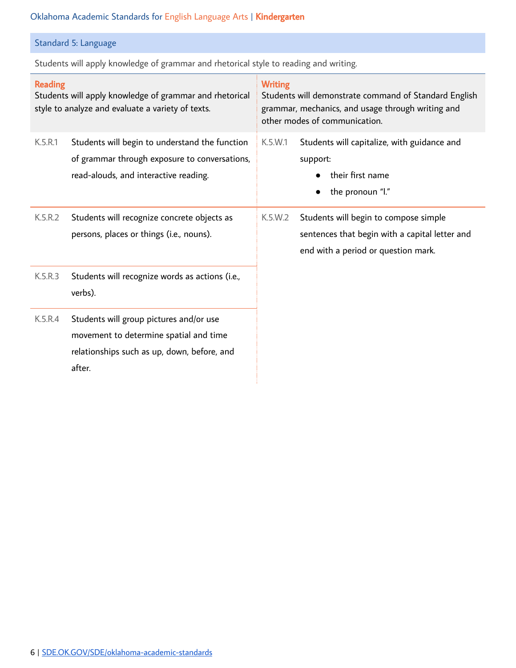# Standard 5: Language

Students will apply knowledge of grammar and rhetorical style to reading and writing.

| <b>Reading</b><br>Students will apply knowledge of grammar and rhetorical<br>style to analyze and evaluate a variety of texts. |                                                                                                                                            | <b>Writing</b><br>Students will demonstrate command of Standard English<br>grammar, mechanics, and usage through writing and<br>other modes of communication. |                                                                                                                                |  |
|--------------------------------------------------------------------------------------------------------------------------------|--------------------------------------------------------------------------------------------------------------------------------------------|---------------------------------------------------------------------------------------------------------------------------------------------------------------|--------------------------------------------------------------------------------------------------------------------------------|--|
| K.5.R.1                                                                                                                        | Students will begin to understand the function<br>of grammar through exposure to conversations,<br>read-alouds, and interactive reading.   | K.5.W.1                                                                                                                                                       | Students will capitalize, with guidance and<br>support:<br>their first name<br>the pronoun "I."<br>$\bullet$                   |  |
| K.5.R.2                                                                                                                        | Students will recognize concrete objects as<br>persons, places or things (i.e., nouns).                                                    | K.5.W.2                                                                                                                                                       | Students will begin to compose simple<br>sentences that begin with a capital letter and<br>end with a period or question mark. |  |
| K.5.R.3                                                                                                                        | Students will recognize words as actions (i.e.,<br>verbs).                                                                                 |                                                                                                                                                               |                                                                                                                                |  |
| K.5.R.4                                                                                                                        | Students will group pictures and/or use<br>movement to determine spatial and time<br>relationships such as up, down, before, and<br>after. |                                                                                                                                                               |                                                                                                                                |  |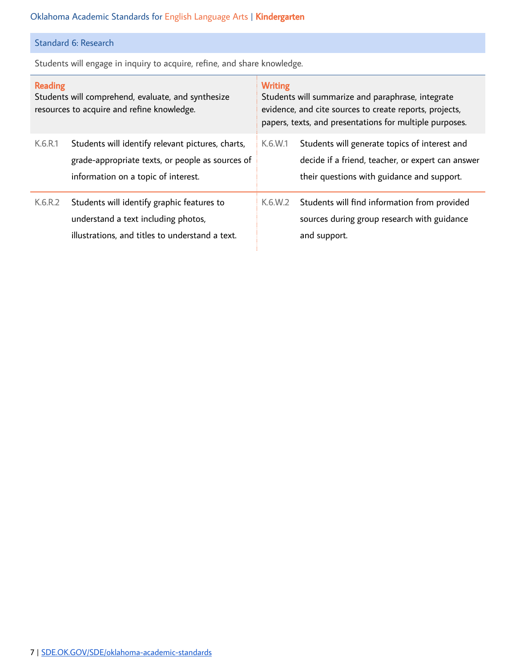# Standard 6: Research

Students will engage in inquiry to acquire, refine, and share knowledge.

| <b>Reading</b><br>Students will comprehend, evaluate, and synthesize<br>resources to acquire and refine knowledge. |                                                                                                                                              | <b>Writing</b><br>Students will summarize and paraphrase, integrate<br>evidence, and cite sources to create reports, projects,<br>papers, texts, and presentations for multiple purposes. |                                                                                                                                                  |
|--------------------------------------------------------------------------------------------------------------------|----------------------------------------------------------------------------------------------------------------------------------------------|-------------------------------------------------------------------------------------------------------------------------------------------------------------------------------------------|--------------------------------------------------------------------------------------------------------------------------------------------------|
| K.6.R.1                                                                                                            | Students will identify relevant pictures, charts,<br>grade-appropriate texts, or people as sources of<br>information on a topic of interest. | K.6.W.1                                                                                                                                                                                   | Students will generate topics of interest and<br>decide if a friend, teacher, or expert can answer<br>their questions with guidance and support. |
| K.6.R.2                                                                                                            | Students will identify graphic features to<br>understand a text including photos,<br>illustrations, and titles to understand a text.         | K.6.W.2                                                                                                                                                                                   | Students will find information from provided<br>sources during group research with guidance<br>and support.                                      |